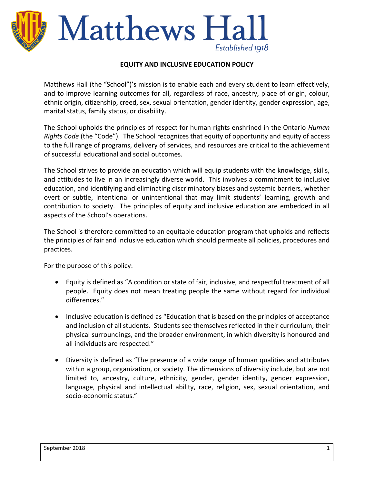# Matthews Ha Established 1918

#### **EQUITY AND INCLUSIVE EDUCATION POLICY**

Matthews Hall (the "School")'s mission is to enable each and every student to learn effectively, and to improve learning outcomes for all, regardless of race, ancestry, place of origin, colour, ethnic origin, citizenship, creed, sex, sexual orientation, gender identity, gender expression, age, marital status, family status, or disability.

The School upholds the principles of respect for human rights enshrined in the Ontario *Human Rights Code* (the "Code"). The School recognizes that equity of opportunity and equity of access to the full range of programs, delivery of services, and resources are critical to the achievement of successful educational and social outcomes.

The School strives to provide an education which will equip students with the knowledge, skills, and attitudes to live in an increasingly diverse world. This involves a commitment to inclusive education, and identifying and eliminating discriminatory biases and systemic barriers, whether overt or subtle, intentional or unintentional that may limit students' learning, growth and contribution to society. The principles of equity and inclusive education are embedded in all aspects of the School's operations.

The School is therefore committed to an equitable education program that upholds and reflects the principles of fair and inclusive education which should permeate all policies, procedures and practices.

For the purpose of this policy:

- Equity is defined as "A condition or state of fair, inclusive, and respectful treatment of all people. Equity does not mean treating people the same without regard for individual differences."
- Inclusive education is defined as "Education that is based on the principles of acceptance and inclusion of all students. Students see themselves reflected in their curriculum, their physical surroundings, and the broader environment, in which diversity is honoured and all individuals are respected."
- Diversity is defined as "The presence of a wide range of human qualities and attributes within a group, organization, or society. The dimensions of diversity include, but are not limited to, ancestry, culture, ethnicity, gender, gender identity, gender expression, language, physical and intellectual ability, race, religion, sex, sexual orientation, and socio-economic status."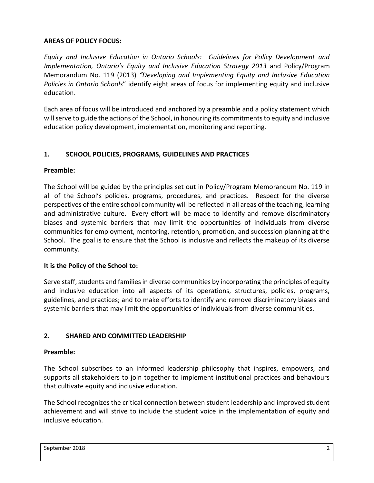#### **AREAS OF POLICY FOCUS:**

*Equity and Inclusive Education in Ontario Schools: Guidelines for Policy Development and Implementation, Ontario's Equity and Inclusive Education Strategy 2013* and Policy/Program Memorandum No. 119 (2013) *"Developing and Implementing Equity and Inclusive Education Policies in Ontario Schools*" identify eight areas of focus for implementing equity and inclusive education.

Each area of focus will be introduced and anchored by a preamble and a policy statement which will serve to guide the actions of the School, in honouring its commitments to equity and inclusive education policy development, implementation, monitoring and reporting.

## **1. SCHOOL POLICIES, PROGRAMS, GUIDELINES AND PRACTICES**

## **Preamble:**

The School will be guided by the principles set out in Policy/Program Memorandum No. 119 in all of the School's policies, programs, procedures, and practices. Respect for the diverse perspectives of the entire school community will be reflected in all areas of the teaching, learning and administrative culture. Every effort will be made to identify and remove discriminatory biases and systemic barriers that may limit the opportunities of individuals from diverse communities for employment, mentoring, retention, promotion, and succession planning at the School. The goal is to ensure that the School is inclusive and reflects the makeup of its diverse community.

## **It is the Policy of the School to:**

Serve staff, students and families in diverse communities by incorporating the principles of equity and inclusive education into all aspects of its operations, structures, policies, programs, guidelines, and practices; and to make efforts to identify and remove discriminatory biases and systemic barriers that may limit the opportunities of individuals from diverse communities.

## **2. SHARED AND COMMITTED LEADERSHIP**

## **Preamble:**

The School subscribes to an informed leadership philosophy that inspires, empowers, and supports all stakeholders to join together to implement institutional practices and behaviours that cultivate equity and inclusive education.

The School recognizes the critical connection between student leadership and improved student achievement and will strive to include the student voice in the implementation of equity and inclusive education.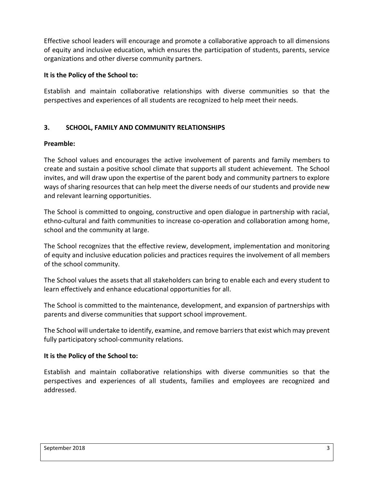Effective school leaders will encourage and promote a collaborative approach to all dimensions of equity and inclusive education, which ensures the participation of students, parents, service organizations and other diverse community partners.

#### **It is the Policy of the School to:**

Establish and maintain collaborative relationships with diverse communities so that the perspectives and experiences of all students are recognized to help meet their needs.

## **3. SCHOOL, FAMILY AND COMMUNITY RELATIONSHIPS**

#### **Preamble:**

The School values and encourages the active involvement of parents and family members to create and sustain a positive school climate that supports all student achievement. The School invites, and will draw upon the expertise of the parent body and community partners to explore ways of sharing resources that can help meet the diverse needs of our students and provide new and relevant learning opportunities.

The School is committed to ongoing, constructive and open dialogue in partnership with racial, ethno-cultural and faith communities to increase co-operation and collaboration among home, school and the community at large.

The School recognizes that the effective review, development, implementation and monitoring of equity and inclusive education policies and practices requires the involvement of all members of the school community.

The School values the assets that all stakeholders can bring to enable each and every student to learn effectively and enhance educational opportunities for all.

The School is committed to the maintenance, development, and expansion of partnerships with parents and diverse communities that support school improvement.

The School will undertake to identify, examine, and remove barriers that exist which may prevent fully participatory school-community relations.

## **It is the Policy of the School to:**

Establish and maintain collaborative relationships with diverse communities so that the perspectives and experiences of all students, families and employees are recognized and addressed.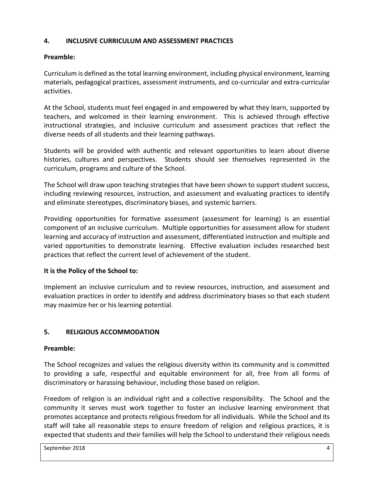### **4. INCLUSIVE CURRICULUM AND ASSESSMENT PRACTICES**

## **Preamble:**

Curriculum is defined as the total learning environment, including physical environment, learning materials, pedagogical practices, assessment instruments, and co-curricular and extra-curricular activities.

At the School, students must feel engaged in and empowered by what they learn, supported by teachers, and welcomed in their learning environment. This is achieved through effective instructional strategies, and inclusive curriculum and assessment practices that reflect the diverse needs of all students and their learning pathways.

Students will be provided with authentic and relevant opportunities to learn about diverse histories, cultures and perspectives. Students should see themselves represented in the curriculum, programs and culture of the School.

The School will draw upon teaching strategies that have been shown to support student success, including reviewing resources, instruction, and assessment and evaluating practices to identify and eliminate stereotypes, discriminatory biases, and systemic barriers.

Providing opportunities for formative assessment (assessment for learning) is an essential component of an inclusive curriculum. Multiple opportunities for assessment allow for student learning and accuracy of instruction and assessment, differentiated instruction and multiple and varied opportunities to demonstrate learning. Effective evaluation includes researched best practices that reflect the current level of achievement of the student.

## **It is the Policy of the School to:**

Implement an inclusive curriculum and to review resources, instruction, and assessment and evaluation practices in order to identify and address discriminatory biases so that each student may maximize her or his learning potential.

# **5. RELIGIOUS ACCOMMODATION**

## **Preamble:**

The School recognizes and values the religious diversity within its community and is committed to providing a safe, respectful and equitable environment for all, free from all forms of discriminatory or harassing behaviour, including those based on religion.

Freedom of religion is an individual right and a collective responsibility. The School and the community it serves must work together to foster an inclusive learning environment that promotes acceptance and protects religious freedom for all individuals. While the School and its staff will take all reasonable steps to ensure freedom of religion and religious practices, it is expected that students and their families will help the School to understand their religious needs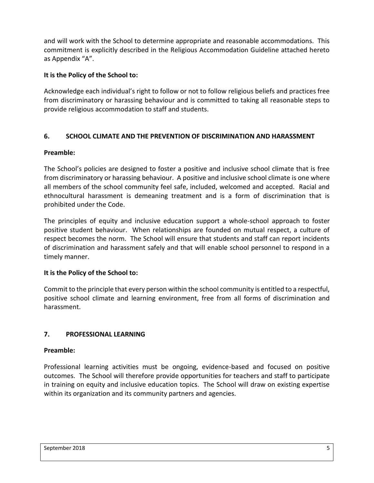and will work with the School to determine appropriate and reasonable accommodations. This commitment is explicitly described in the Religious Accommodation Guideline attached hereto as Appendix "A".

### **It is the Policy of the School to:**

Acknowledge each individual's right to follow or not to follow religious beliefs and practices free from discriminatory or harassing behaviour and is committed to taking all reasonable steps to provide religious accommodation to staff and students.

## **6. SCHOOL CLIMATE AND THE PREVENTION OF DISCRIMINATION AND HARASSMENT**

#### **Preamble:**

The School's policies are designed to foster a positive and inclusive school climate that is free from discriminatory or harassing behaviour. A positive and inclusive school climate is one where all members of the school community feel safe, included, welcomed and accepted. Racial and ethnocultural harassment is demeaning treatment and is a form of discrimination that is prohibited under the Code.

The principles of equity and inclusive education support a whole-school approach to foster positive student behaviour. When relationships are founded on mutual respect, a culture of respect becomes the norm. The School will ensure that students and staff can report incidents of discrimination and harassment safely and that will enable school personnel to respond in a timely manner.

#### **It is the Policy of the School to:**

Commit to the principle that every person within the school community is entitled to a respectful, positive school climate and learning environment, free from all forms of discrimination and harassment.

#### **7. PROFESSIONAL LEARNING**

#### **Preamble:**

Professional learning activities must be ongoing, evidence-based and focused on positive outcomes. The School will therefore provide opportunities for teachers and staff to participate in training on equity and inclusive education topics. The School will draw on existing expertise within its organization and its community partners and agencies.